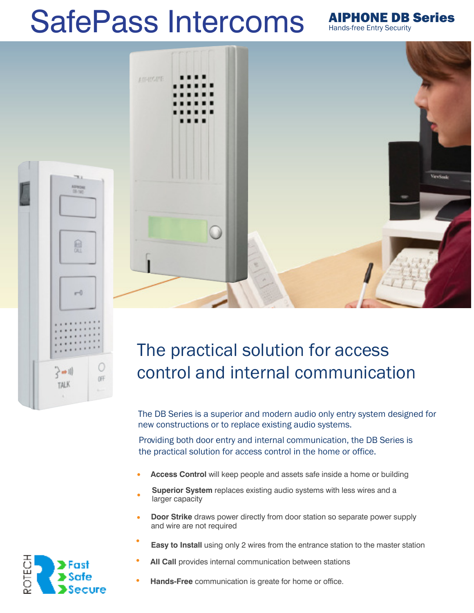# SafePass Intercoms AIPHONE DB Series



Hands-free Entry Security

## The practical solution for access control and internal communication

The DB Series is a superior and modern audio only entry system designed for new constructions or to replace existing audio systems.

Providing both door entry and internal communication, the DB Series is the practical solution for access control in the home or office.

- **Access Control** will keep people and assets safe inside a home or building •
- **Superior System** replaces existing audio systems with less wires and a larger capacity •
- **Door Strike** draws power directly from door station so separate power supply and wire are not required •
- **Easy to Install** using only 2 wires from the entrance station to the master station •
- **All Call** provides internal communication between stations •
- **Hands-Free** communication is greate for home or office. •



凾

 $-0$ 

े⇔॥

**TALK** 

OFF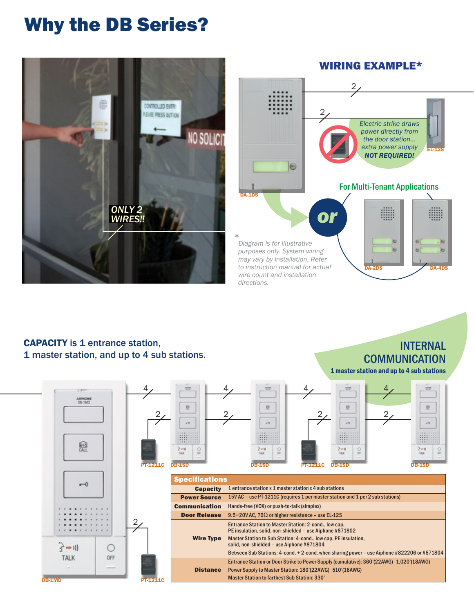### Why the DB Series?



### **CAPACITY** is 1 entrance station, 1 master station, and up to 4 sub stations.

### INTERNAL **COMMUNICATION**

1 master station and up to 4 sub stations



DB-1MD